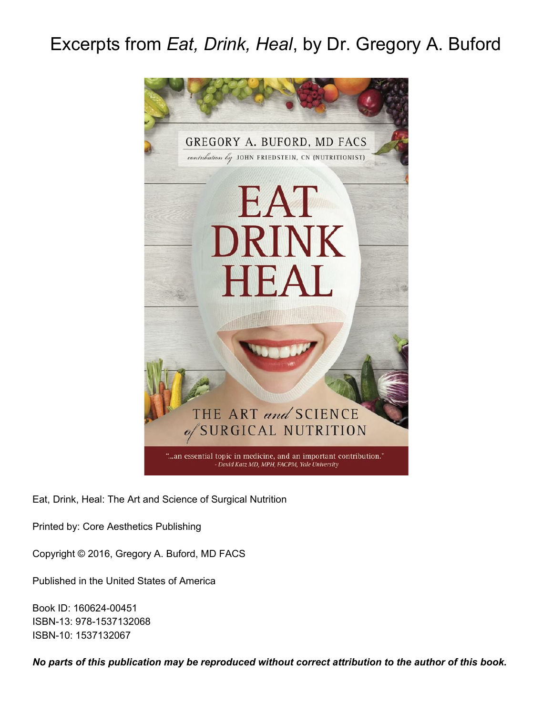# Excerpts from *Eat, Drink, Heal*, by Dr. Gregory A. Buford



Eat, Drink, Heal: The Art and Science of Surgical Nutrition

Printed by: Core Aesthetics Publishing

Copyright © 2016, Gregory A. Buford, MD FACS

Published in the United States of America

Book ID: 160624-00451 ISBN-13: 978-1537132068 ISBN-10: 1537132067

*No parts of this publication may be reproduced without correct attribution to the author of this book.*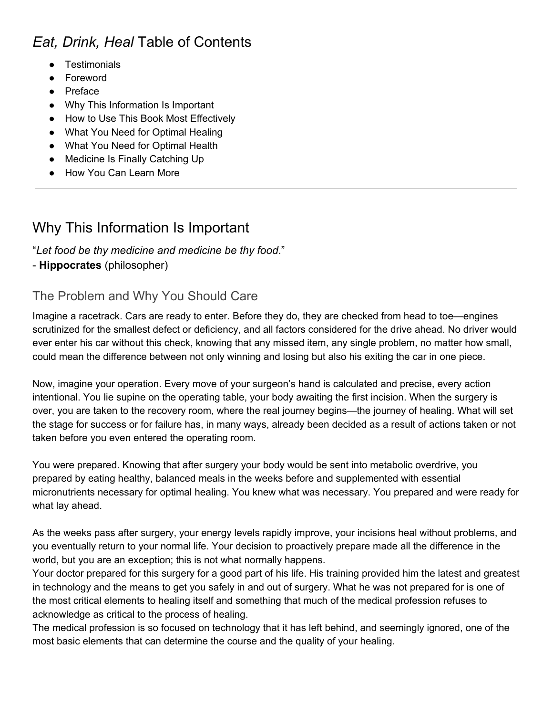## *Eat, Drink, Heal* Table of Contents

- Testimonials
- Foreword
- Preface
- Why This Information Is Important
- How to Use This Book Most Effectively
- What You Need for Optimal Healing
- What You Need for Optimal Health
- Medicine Is Finally Catching Up
- How You Can Learn More

### Why This Information Is Important

#### "*Let food be thy medicine and medicine be thy food*."

#### - **Hippocrates** (philosopher)

### The Problem and Why You Should Care

Imagine a racetrack. Cars are ready to enter. Before they do, they are checked from head to toe—engines scrutinized for the smallest defect or deficiency, and all factors considered for the drive ahead. No driver would ever enter his car without this check, knowing that any missed item, any single problem, no matter how small, could mean the difference between not only winning and losing but also his exiting the car in one piece.

Now, imagine your operation. Every move of your surgeon's hand is calculated and precise, every action intentional. You lie supine on the operating table, your body awaiting the first incision. When the surgery is over, you are taken to the recovery room, where the real journey begins—the journey of healing. What will set the stage for success or for failure has, in many ways, already been decided as a result of actions taken or not taken before you even entered the operating room.

You were prepared. Knowing that after surgery your body would be sent into metabolic overdrive, you prepared by eating healthy, balanced meals in the weeks before and supplemented with essential micronutrients necessary for optimal healing. You knew what was necessary. You prepared and were ready for what lay ahead.

As the weeks pass after surgery, your energy levels rapidly improve, your incisions heal without problems, and you eventually return to your normal life. Your decision to proactively prepare made all the difference in the world, but you are an exception; this is not what normally happens.

Your doctor prepared for this surgery for a good part of his life. His training provided him the latest and greatest in technology and the means to get you safely in and out of surgery. What he was not prepared for is one of the most critical elements to healing itself and something that much of the medical profession refuses to acknowledge as critical to the process of healing.

The medical profession is so focused on technology that it has left behind, and seemingly ignored, one of the most basic elements that can determine the course and the quality of your healing.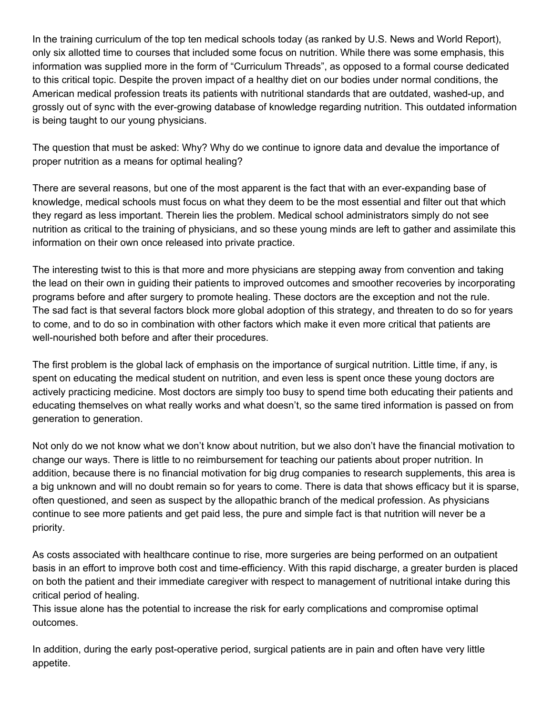In the training curriculum of the top ten medical schools today (as ranked by U.S. News and World Report), only six allotted time to courses that included some focus on nutrition. While there was some emphasis, this information was supplied more in the form of "Curriculum Threads", as opposed to a formal course dedicated to this critical topic. Despite the proven impact of a healthy diet on our bodies under normal conditions, the American medical profession treats its patients with nutritional standards that are outdated, washed-up, and grossly out of sync with the ever-growing database of knowledge regarding nutrition. This outdated information is being taught to our young physicians.

The question that must be asked: Why? Why do we continue to ignore data and devalue the importance of proper nutrition as a means for optimal healing?

There are several reasons, but one of the most apparent is the fact that with an ever-expanding base of knowledge, medical schools must focus on what they deem to be the most essential and filter out that which they regard as less important. Therein lies the problem. Medical school administrators simply do not see nutrition as critical to the training of physicians, and so these young minds are left to gather and assimilate this information on their own once released into private practice.

The interesting twist to this is that more and more physicians are stepping away from convention and taking the lead on their own in guiding their patients to improved outcomes and smoother recoveries by incorporating programs before and after surgery to promote healing. These doctors are the exception and not the rule. The sad fact is that several factors block more global adoption of this strategy, and threaten to do so for years to come, and to do so in combination with other factors which make it even more critical that patients are well-nourished both before and after their procedures.

The first problem is the global lack of emphasis on the importance of surgical nutrition. Little time, if any, is spent on educating the medical student on nutrition, and even less is spent once these young doctors are actively practicing medicine. Most doctors are simply too busy to spend time both educating their patients and educating themselves on what really works and what doesn't, so the same tired information is passed on from generation to generation.

Not only do we not know what we don't know about nutrition, but we also don't have the financial motivation to change our ways. There is little to no reimbursement for teaching our patients about proper nutrition. In addition, because there is no financial motivation for big drug companies to research supplements, this area is a big unknown and will no doubt remain so for years to come. There is data that shows efficacy but it is sparse, often questioned, and seen as suspect by the allopathic branch of the medical profession. As physicians continue to see more patients and get paid less, the pure and simple fact is that nutrition will never be a priority.

As costs associated with healthcare continue to rise, more surgeries are being performed on an outpatient basis in an effort to improve both cost and time-efficiency. With this rapid discharge, a greater burden is placed on both the patient and their immediate caregiver with respect to management of nutritional intake during this critical period of healing.

This issue alone has the potential to increase the risk for early complications and compromise optimal outcomes.

In addition, during the early post-operative period, surgical patients are in pain and often have very little appetite.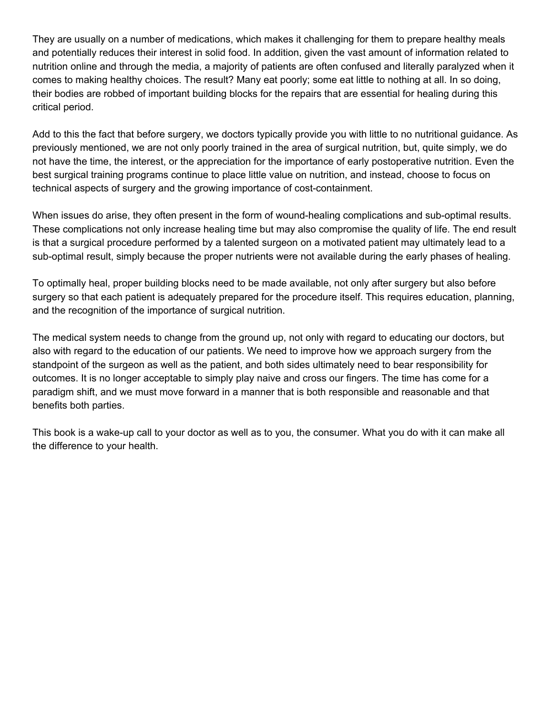They are usually on a number of medications, which makes it challenging for them to prepare healthy meals and potentially reduces their interest in solid food. In addition, given the vast amount of information related to nutrition online and through the media, a majority of patients are often confused and literally paralyzed when it comes to making healthy choices. The result? Many eat poorly; some eat little to nothing at all. In so doing, their bodies are robbed of important building blocks for the repairs that are essential for healing during this critical period.

Add to this the fact that before surgery, we doctors typically provide you with little to no nutritional guidance. As previously mentioned, we are not only poorly trained in the area of surgical nutrition, but, quite simply, we do not have the time, the interest, or the appreciation for the importance of early postoperative nutrition. Even the best surgical training programs continue to place little value on nutrition, and instead, choose to focus on technical aspects of surgery and the growing importance of cost-containment.

When issues do arise, they often present in the form of wound-healing complications and sub-optimal results. These complications not only increase healing time but may also compromise the quality of life. The end result is that a surgical procedure performed by a talented surgeon on a motivated patient may ultimately lead to a sub-optimal result, simply because the proper nutrients were not available during the early phases of healing.

To optimally heal, proper building blocks need to be made available, not only after surgery but also before surgery so that each patient is adequately prepared for the procedure itself. This requires education, planning, and the recognition of the importance of surgical nutrition.

The medical system needs to change from the ground up, not only with regard to educating our doctors, but also with regard to the education of our patients. We need to improve how we approach surgery from the standpoint of the surgeon as well as the patient, and both sides ultimately need to bear responsibility for outcomes. It is no longer acceptable to simply play naive and cross our fingers. The time has come for a paradigm shift, and we must move forward in a manner that is both responsible and reasonable and that benefits both parties.

This book is a wake-up call to your doctor as well as to you, the consumer. What you do with it can make all the difference to your health.